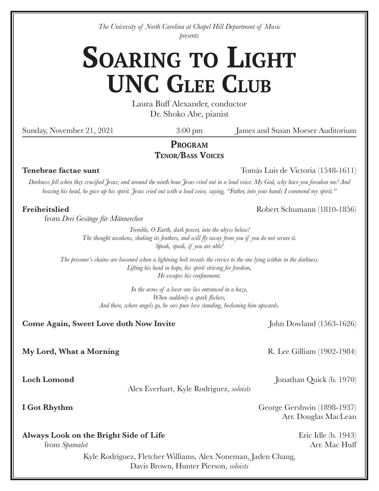*The University of North Carolina at Chapel Hill Department of Music presents*

# **Soaring to Light UNC Glee Club**

Laura Buff Alexander, conductor Dr. Shoko Abe, pianist

Sunday, November 21, 2021 3:00 pm James and Susan Moeser Auditorium

# **Program Tenor/Bass Voices**

**Tenebrae factae sunt** Tomás Luis de Victoria (1548-1611)

*Darkness fell when they crucified Jesus; and around the ninth hour Jesus cried out in a loud voice: My God, why have you forsaken me? And bowing his head, he gave up his spirit. Jesus cried out with a loud voice, saying, "Father, into your hands I commend my spirit."*

from *Drei Gesänge für Männerchor*

*Tremble, O Earth, dark power, into the abyss below! The thought awakens, shaking its feathers, and will fly away from you if you do not secure it. Speak, speak, if you are able!*

*The prisoner's chains are loosened when a lightning bolt reveals the crevice to the one lying within in the darkness. Lifting his head in hope, his spirit striving for freedom, He escapes his confinement.*

> *In the arms of a lover one lies entranced in a haze, When suddenly a spark flickers, And there, where angels go, he sees pure love standing, beckoning him upwards.*

> > Alex Everhart, Kyle Rodriguez, *soloists*

**Come Again, Sweet Love doth Now Invite** John Dowland (1563-1626)

**My Lord, What a Morning** R. Lee Gilliam (1902-1984)

**Loch Lomond** Jonathan Quick (b. 1970)

**I Got Rhythm** George Gershwin (1898-1937) Arr. Douglas MacLean

# **Always Look on the Bright Side of Life** Eric Idle (b. 1943)

from *Spamalot* Arr. Mac Huff

Kyle Rodriguez, Fletcher Williams, Alex Noneman, Jaden Chang, Davis Brown, Hunter Pierson, *soloists*

**Freiheitslied** Robert Schumann (1810-1856)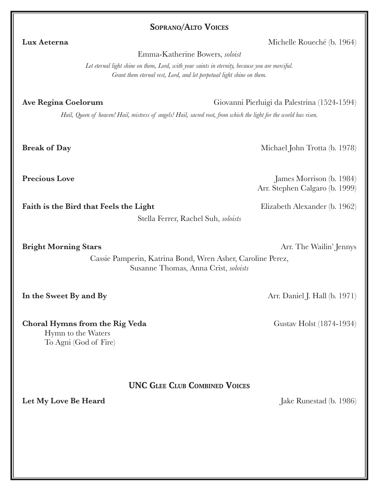## **Soprano/Alto Voices**

**Lux Aeterna** Michelle Roueché (b. 1964)

Emma-Katherine Bowers, *soloist*

*Let eternal light shine on them, Lord, with your saints in eternity, because you are merciful. Grant them eternal rest, Lord, and let perpetual light shine on them.*

**Ave Regina Coelorum** Giovanni Pierluigi da Palestrina (1524-1594)

*Hail, Queen of heaven! Hail, mistress of angels! Hail, sacred root, from which the light for the world has risen.*

**Break of Day** Michael John Trotta (b. 1978)

**Faith is the Bird that Feels the Light** Elizabeth Alexander (b. 1962)

Stella Ferrer, Rachel Suh, *soloists*

**Bright Morning Stars** Arr. The Wailin' Jennys

Cassie Pamperin, Katrina Bond, Wren Asher, Caroline Perez, Susanne Thomas, Anna Crist, *soloists*

**Choral Hymns from the Rig Veda** Gustav Holst (1874-1934) Hymn to the Waters To Agni (God of Fire)

**UNC Glee Club Combined Voices**

**Let My Love Be Heard Jake Runestad (b. 1986)** 

**In the Sweet By and By** Arr. Daniel J. Hall (b. 1971)

**Precious Love** James Morrison (b. 1984) Arr. Stephen Calgaro (b. 1999)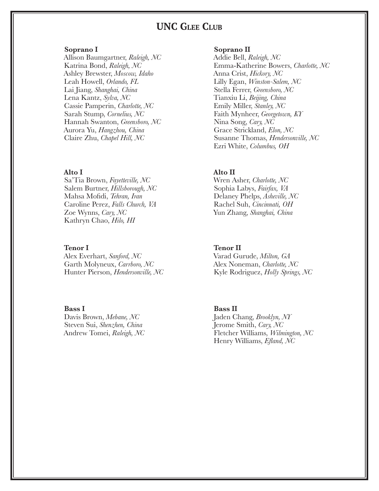# **UNC Glee Club**

#### **Soprano I**

Allison Baumgartner, *Raleigh, NC* Katrina Bond, *Raleigh, NC* Ashley Brewster, *Moscow, Idaho* Leah Howell, *Orlando, FL* Lai Jiang, *Shanghai, China* Lena Kantz, *Sylva, NC* Cassie Pamperin, *Charlotte, NC* Sarah Stump, *Cornelius, NC* Hannah Swanton, *Greensboro, NC* Aurora Yu, *Hangzhou, China* Claire Zhu, *Chapel Hill, NC*

#### **Alto I**

Sa'Tia Brown, *Fayetteville, NC* Salem Burtner, *Hillsborough, NC* Mahsa Mofidi, *Tehran, Iran* Caroline Perez, *Falls Church, VA* Zoe Wynns, *Cary, NC* Kathryn Chao, *Hilo, HI*

#### **Tenor I**

Alex Everhart, *Sanford, NC* Garth Molyneux, *Carrboro, NC* Hunter Pierson, *Hendersonville, NC*

#### **Bass I**

Davis Brown, *Mebane, NC* Steven Sui, *Shenzhen, China* Andrew Tomei, *Raleigh, NC*

#### **Soprano II**

Addie Bell, *Raleigh, NC* Emma-Katherine Bowers, *Charlotte, NC* Anna Crist, *Hickory, NC* Lilly Egan, *Winston-Salem, NC* Stella Ferrer, *Greensboro, NC* Tianxiu Li, *Beijing, China* Emily Miller, *Stanley, NC* Faith Mynheer, *Georgetown, KY* Nina Song, *Cary, NC* Grace Strickland, *Elon, NC*  Susanne Thomas, *Hendersonville, NC* Ezri White, *Columbus, OH*

### **Alto II**

Wren Asher, *Charlotte, NC* Sophia Labys, *Fairfax, VA* Delaney Phelps, *Asheville, NC*  Rachel Suh, *Cincinnati, OH* Yun Zhang, *Shanghai, China*

#### **Tenor II**

Varad Gurude, *Milton, GA* Alex Noneman, *Charlotte, NC*  Kyle Rodriguez, *Holly Springs, NC*

## **Bass II**

Jaden Chang, *Brooklyn, NY* Jerome Smith, *Cary, NC*  Fletcher Williams, *Wilmington, NC* Henry Williams, *Efland, NC*